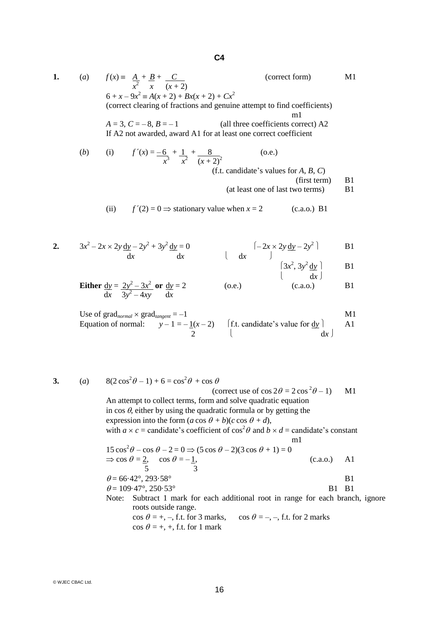**1.** (*a*)  $f(x) = \underline{A} + \underline{B} + \underline{C}$  (correct form) M1  $x^2$  *x*  $(x+2)$  $6 + x - 9x^2 \equiv A(x + 2) + Bx(x + 2) + Cx^2$ (correct clearing of fractions and genuine attempt to find coefficients) m1  $A = 3$ ,  $C = -8$ ,  $B = -1$  (all three coefficients correct) A2 If A2 not awarded, award A1 for at least one correct coefficient (*b*) (i)  $f'(x) = -6 + 1 + 8$  (o.e.) *x*<sup>3</sup> *x*<sup>2</sup>  $(x+2)^2$ (f.t. candidate's values for *A*, *B*, *C*)  $(first term)$  B1 (at least one of last two terms) B1 (ii)  $f'(2) = 0 \Rightarrow$  stationary value when  $x = 2$  (c.a.o.) B1 **2.**  $3x^2 - 2x \times 2y \underline{dy} - 2y^2 + 3y^2 \underline{dy} = 0$   $\left(-2x \times 2y \underline{dy} - 2y^2\right)$  B1 d*x* d*x* d*x* d*x* 1  $\left(3x^2, 3y^2 \underline{dy}\right)$  B1  $\left(\begin{array}{cc} \text{d}x \end{array}\right)$ **Either**  $\underline{dy} = 2y^2 - 3x^2$  or  $\underline{dy} = 2$  (o.e.) (c.a.o.) B1 dx  $3y^2 - 4xy$  dx Use of grad<sub>normal</sub>  $\times$  grad<sub>tangent</sub> = -1 M1 Equation of normal:  $y-1=-1(x-2)$  [f.t. candidate's value for  $\underline{dy}$  | A1 2 d*x* **3.** (*a*)  $8(2\cos^2\theta - 1) + 6 = \cos^2\theta + \cos\theta$ (correct use of  $\cos 2\theta = 2 \cos^2 \theta - 1$ ) M1 An attempt to collect terms, form and solve quadratic equation in  $\cos \theta$ , either by using the quadratic formula or by getting the expression into the form  $(a \cos \theta + b)(c \cos \theta + d)$ , with  $a \times c$  = candidate's coefficient of  $\cos^2 \theta$  and  $b \times d$  = candidate's constant

$$
15 \cos^{2} \theta - \cos \theta - 2 = 0 \Rightarrow (5 \cos \theta - 2)(3 \cos \theta + 1) = 0
$$
  
\n
$$
\Rightarrow \cos \theta = 2, \quad \cos \theta = -1,
$$
  
\n
$$
6 = 66.42^{\circ}, 293.58^{\circ}
$$
  
\n
$$
\theta = 109.47^{\circ}, 250.53^{\circ}
$$
  
\nNote: Subtract 1 mark for each additional root in range for each branch, ignore

16

roots outside range.  $\cos \theta = +, -, \text{ f.t. for } 3 \text{ marks}, \quad \cos \theta = -, -, \text{ f.t. for } 2 \text{ marks}$  $\cos \theta = +, +, \text{ f.t. for } 1 \text{ mark}$ 

m1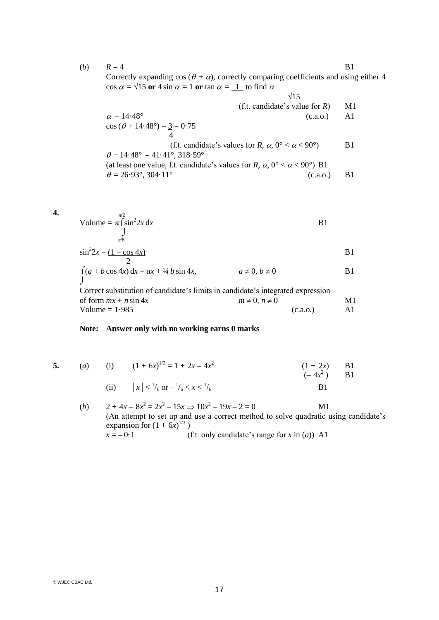(*b*)  $R = 4$  B1 Correctly expanding cos ( $\theta + \alpha$ ), correctly comparing coefficients and using either 4  $\cos \alpha = \sqrt{15}$  or  $4 \sin \alpha = 1$  or  $\tan \alpha = 1$  to find  $\alpha$ 

$$
\begin{array}{ccc}\n\sqrt{15} & & & \\
\alpha = 14.48^{\circ} & & & \\
\cos (\theta + 14.48^{\circ}) = \frac{3}{4} = 0.75 & & \\
\theta + 14.48^{\circ} = 41.41^{\circ}, 318.59^{\circ} & & \\
\text{(at least one value, f.t. candidate's values for } R, \alpha, 0^{\circ} < \alpha < 90^{\circ}) & & \\
\theta = 26.93^{\circ}, 304.11^{\circ} & & & \\
\end{array}
$$
\n
$$
\begin{array}{ccc}\n\sqrt{15} & & & \\
\text{(f.t. candidate's values for } R, \alpha, 0^{\circ} < \alpha < 90^{\circ}) & & \\
\text{(g.t. candidate's values for } R, \alpha, 0^{\circ} < \alpha < 90^{\circ}) & & \\
\text{(a. a.0.)} & & & \\
\text{(b.00.)} & & & \\
\end{array}
$$

$$
\begin{array}{ll}\n\mathbf{4.} & \text{Volume} = \pi \int_{0}^{\pi/2} \sin^2 2x \, dx \\
\mathbf{B1} & \mathbf{B2}\n\end{array}
$$

$$
\sin^2 2x = \frac{(1 - \cos 4x)}{2}
$$
 B1

$$
\int (a + b \cos 4x) dx = ax + \frac{1}{4}b \sin 4x, \qquad a \neq 0, b \neq 0
$$
 B1

Correct substitution of candidate's limits in candidate's integrated expression of form  $mx + n \sin 4x$   $m \neq 0, n \neq 0$   $M1$  $Volume = 1.985$  (c.a.o.) A1

## **Note: Answer only with no working earns 0 marks**

- 
- **5.** (*a*) (i)  $(1 + 6x)^{1/3} = 1 + 2x 4x^2$  $(1 + 2x)$  B1  $(-4x^2)$  $B1$

(ii) 
$$
|x| < \frac{1}{6}
$$
 or  $-\frac{1}{6} < x < \frac{1}{6}$ 

(*b*)  $2 + 4x - 8x^2 = 2x^2 - 15x \implies 10x^2 - 19x - 2 = 0$  M1 (An attempt to set up and use a correct method to solve quadratic using candidate's expansion for  $(1 + 6x)^{1/3}$ )  $x = -0.1$  (f.t. only candidate's range for *x* in (*a*)) A1

© WJEC CBAC Ltd.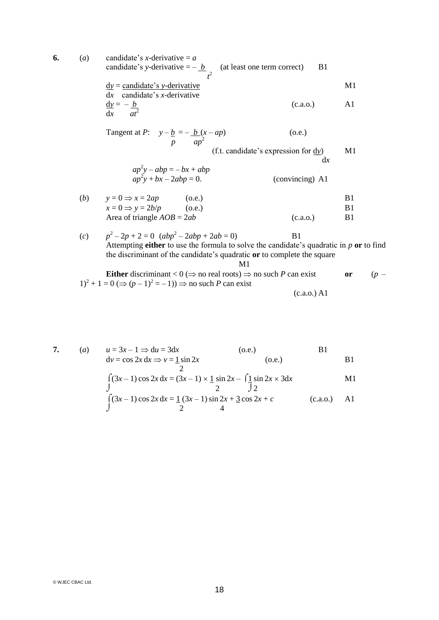**6.** (*a*) candidate's *x*-derivative = *a* candidate's *y*-derivative  $= -b$  (at least one term correct) B1  $t^2$  $dy =$  candidate's *y*-derivative M1 d*x* candidate's *x*-derivative  $\frac{dy}{dx} = -b$  (c.a.o.) A1  $dx$   $at^2$ Tangent at  $P: y - \underline{b} = -\underline{b}(x - ap)$  (o.e.) *p*  $ap^2$ (f.t. candidate's expression for d*y*) M1 d*x*  $ap^2y - abp = -bx + abp$  $ap^2y + bx - 2abp = 0.$  (convincing) A1 (*b*)  $y = 0 \Rightarrow x = 2ap$  (o.e.) B1  $x = 0 \Rightarrow y = 2b/p$  (o.e.) B1 Area of triangle  $AOB = 2ab$  (c.a.o.) B1  $(c)$  $2^2 - 2p + 2 = 0$  ( $abp^2 - 2abp + 2ab = 0$ ) B1 Attempting **either** to use the formula to solve the candidate's quadratic in *p* **or** to find the discriminant of the candidate's quadratic **or** to complete the square M1

**Either** discriminant 
$$
< 0
$$
 ( $\Rightarrow$  no real roots)  $\Rightarrow$  no such *P* can exist   
or  $(p-1)^2 + 1 = 0$  ( $\Rightarrow$  ( $p-1$ )<sup>2</sup> = -1))  $\Rightarrow$  no such *P* can exist (c.a.o.) A1

$$
3x-1 \Rightarrow 0
$$

 $\overline{2}$ 

**7.** (*a*)  $u = 3x - 1 \implies du = 3dx$  (o.e.) B1  $dv = \cos 2x dx \Rightarrow v = \frac{1}{2} \sin 2x$  (o.e.) B1

$$
\int_{0}^{2} (3x-1)\cos 2x \, dx = (3x-1) \times \frac{1}{2} \sin 2x - \int_{2}^{2} \frac{\sin 2x}{2} \times 3 dx
$$
 M1  

$$
\int_{0}^{2} (3x-1)\cos 2x \, dx = \frac{1}{2}(3x-1)\sin 2x + \frac{3}{2}\cos 2x + c
$$
 (c.a.o.) A1

© WJEC CBAC Ltd.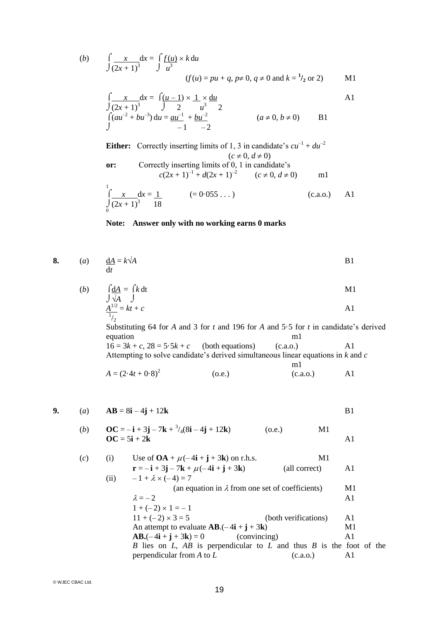(b) 
$$
\int \frac{x}{(2x+1)^3} dx = \int \frac{f(u)}{u^3} \times k \, du
$$
  
(*f*(*u*) = *pu* + *q*, *p*  $\neq$  0, *q*  $\neq$  0 and *k* = <sup>1</sup>/<sub>2</sub> or 2)

$$
\int \frac{x}{(2x+1)^3} dx = \int \frac{(u-1) \times 1}{2} \times \frac{du}{u^3}
$$
  
\n
$$
\int (au^{-2} + bu^{-3}) du = \frac{au^{-1}}{-1} + \frac{bu^{-2}}{-2}
$$
  
\n
$$
(a \neq 0, b \neq 0)
$$
 B1

**Either:** Correctly inserting limits of 1, 3 in candidate's  $cu^{-1} + du^{-2}$  $(c \neq 0, d \neq 0)$ **or:** Correctly inserting limits of 0, 1 in candidate's  $c(2x+1)^{-1} + d(2x+1)^{-2}$   $(c \neq 0, d \neq 0)$  m1

$$
\int_{0}^{1} \frac{x}{(2x+1)^{3}} dx = \frac{1}{18}
$$
 (= 0.055...) (c.a.o.) A1

## **Note: Answer only with no working earns 0 marks**

8. (a) 
$$
\frac{dA}{dt} = k\sqrt{A}
$$
 B1

(b) 
$$
\int \frac{dA}{\sqrt{A}} = \int k dt
$$
  
 
$$
\frac{A^{1/2}}{A} = kt + c
$$
 A1

 $^{1}/_{2}$ Substituting 64 for *A* and 3 for *t* and 196 for *A* and 5.5 for *t* in candidate's derived equation equation

m1

 $16 = 3k + c$ ,  $28 = 5.5k + c$  (both equations) (c.a.o.) A1 Attempting to solve candidate's derived simultaneous linear equations in *k* and *c*

$$
A = (2.4t + 0.8)^2
$$
 (o.e.) (c.a.o.) A1

9. (a) 
$$
AB = 8i - 4j + 12k
$$

(b) 
$$
OC = -i + 3j - 7k + \frac{3}{4}(8i - 4j + 12k)
$$
 (o.e.)  
\n $OC = 5i + 2k$  A1

(c) (i) Use of 
$$
OA + \mu(-4\mathbf{i} + \mathbf{j} + 3\mathbf{k})
$$
 on r.h.s. M1  
\n
$$
\mathbf{r} = -\mathbf{i} + 3\mathbf{j} - 7\mathbf{k} + \mu(-4\mathbf{i} + \mathbf{j} + 3\mathbf{k})
$$
 (all correct) A1  
\n(ii) 
$$
-1 + \lambda \times (-4) = 7
$$
  
\n(a) equation in  $\lambda$  from one set of coefficients) M1  
\n
$$
\lambda = -2
$$
 A1  
\n
$$
1 + (-2) \times 1 = -1
$$

11 + (– 2) 3 = 5 (both verifications) A1 An attempt to evaluate **AB**.(– 4**i** + **j** + 3**k**) M1 **AB.**(– 4**i** + **j** + 3**k**) = 0 (convincing) A1 *B* lies on *L*, *AB* is perpendicular to *L* and thus *B* is the foot of the perpendicular from *A* to *L* (c.a.o.) A1

© WJEC CBAC Ltd.